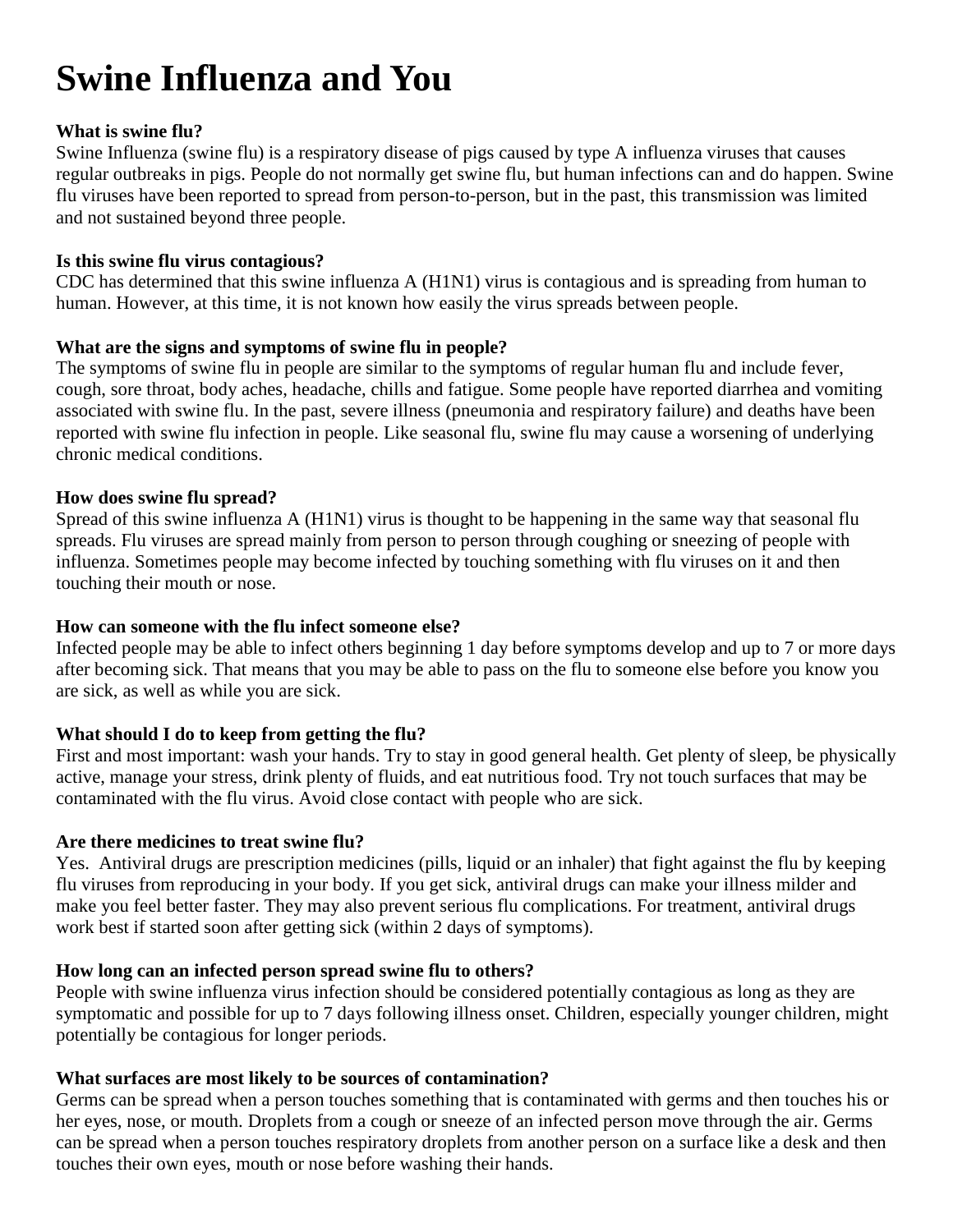# **Swine Influenza and You**

# **What is swine flu?**

Swine Influenza (swine flu) is a respiratory disease of pigs caused by type A influenza viruses that causes regular outbreaks in pigs. People do not normally get swine flu, but human infections can and do happen. Swine flu viruses have been reported to spread from person-to-person, but in the past, this transmission was limited and not sustained beyond three people.

# **Is this swine flu virus contagious?**

CDC has determined that this swine influenza A (H1N1) virus is contagious and is spreading from human to human. However, at this time, it is not known how easily the virus spreads between people.

# **What are the signs and symptoms of swine flu in people?**

The symptoms of swine flu in people are similar to the symptoms of regular human flu and include fever, cough, sore throat, body aches, headache, chills and fatigue. Some people have reported diarrhea and vomiting associated with swine flu. In the past, severe illness (pneumonia and respiratory failure) and deaths have been reported with swine flu infection in people. Like seasonal flu, swine flu may cause a worsening of underlying chronic medical conditions.

#### **How does swine flu spread?**

Spread of this swine influenza A (H1N1) virus is thought to be happening in the same way that seasonal flu spreads. Flu viruses are spread mainly from person to person through coughing or sneezing of people with influenza. Sometimes people may become infected by touching something with flu viruses on it and then touching their mouth or nose.

#### **How can someone with the flu infect someone else?**

Infected people may be able to infect others beginning 1 day before symptoms develop and up to 7 or more days after becoming sick. That means that you may be able to pass on the flu to someone else before you know you are sick, as well as while you are sick.

# **What should I do to keep from getting the flu?**

First and most important: wash your hands. Try to stay in good general health. Get plenty of sleep, be physically active, manage your stress, drink plenty of fluids, and eat nutritious food. Try not touch surfaces that may be contaminated with the flu virus. Avoid close contact with people who are sick.

# **Are there medicines to treat swine flu?**

Yes. Antiviral drugs are prescription medicines (pills, liquid or an inhaler) that fight against the flu by keeping flu viruses from reproducing in your body. If you get sick, antiviral drugs can make your illness milder and make you feel better faster. They may also prevent serious flu complications. For treatment, antiviral drugs work best if started soon after getting sick (within 2 days of symptoms).

# **How long can an infected person spread swine flu to others?**

People with swine influenza virus infection should be considered potentially contagious as long as they are symptomatic and possible for up to 7 days following illness onset. Children, especially younger children, might potentially be contagious for longer periods.

# **What surfaces are most likely to be sources of contamination?**

Germs can be spread when a person touches something that is contaminated with germs and then touches his or her eyes, nose, or mouth. Droplets from a cough or sneeze of an infected person move through the air. Germs can be spread when a person touches respiratory droplets from another person on a surface like a desk and then touches their own eyes, mouth or nose before washing their hands.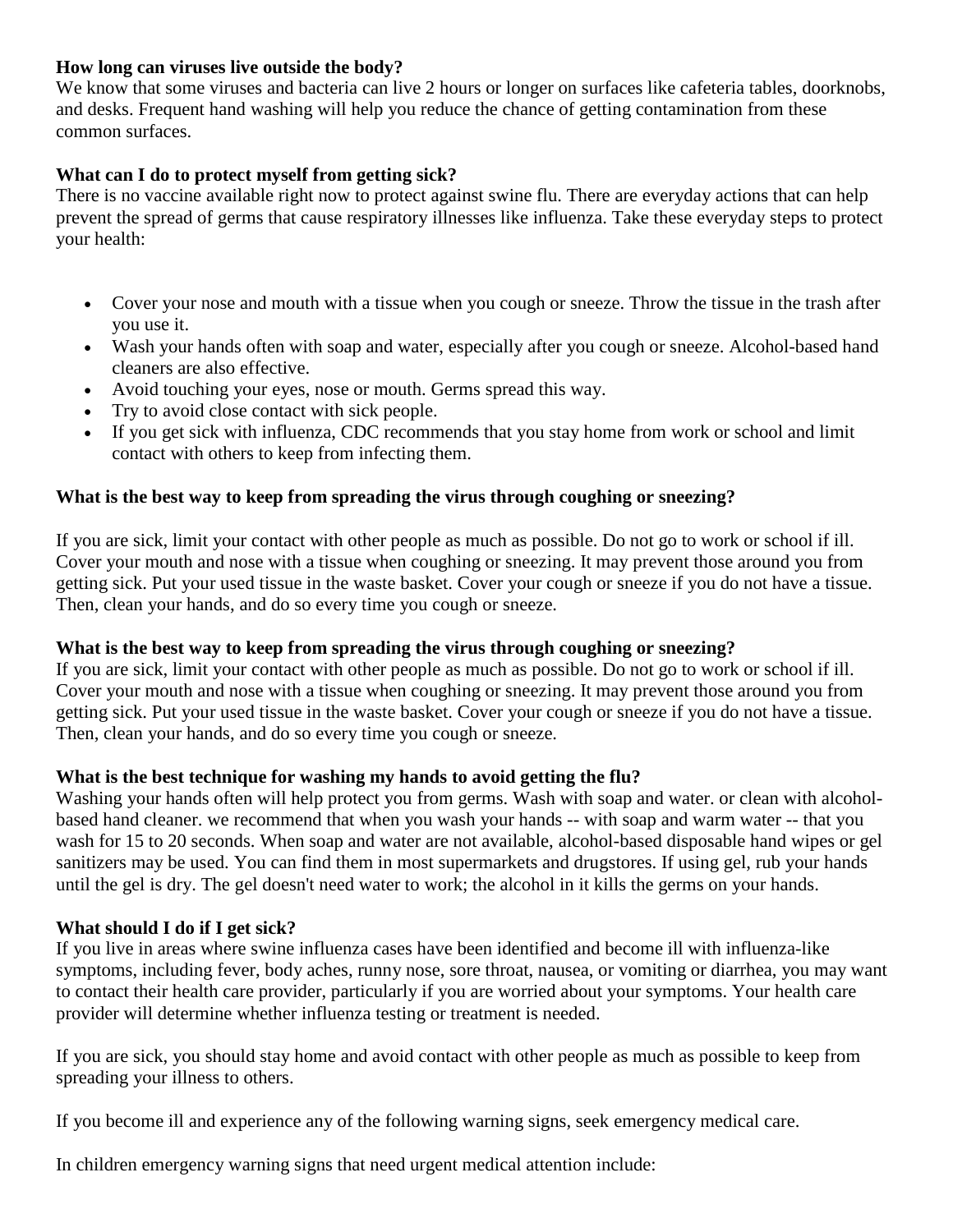#### **How long can viruses live outside the body?**

We know that some viruses and bacteria can live 2 hours or longer on surfaces like cafeteria tables, doorknobs, and desks. Frequent hand washing will help you reduce the chance of getting contamination from these common surfaces.

# **What can I do to protect myself from getting sick?**

There is no vaccine available right now to protect against swine flu. There are everyday actions that can help prevent the spread of germs that cause respiratory illnesses like influenza. Take these everyday steps to protect your health:

- Cover your nose and mouth with a tissue when you cough or sneeze. Throw the tissue in the trash after you use it.
- Wash your hands often with soap and water, especially after you cough or sneeze. Alcohol-based hand cleaners are also effective.
- Avoid touching your eyes, nose or mouth. Germs spread this way.
- Try to avoid close contact with sick people.
- If you get sick with influenza, CDC recommends that you stay home from work or school and limit contact with others to keep from infecting them.

# **What is the best way to keep from spreading the virus through coughing or sneezing?**

If you are sick, limit your contact with other people as much as possible. Do not go to work or school if ill. Cover your mouth and nose with a tissue when coughing or sneezing. It may prevent those around you from getting sick. Put your used tissue in the waste basket. Cover your cough or sneeze if you do not have a tissue. Then, clean your hands, and do so every time you cough or sneeze.

# **What is the best way to keep from spreading the virus through coughing or sneezing?**

If you are sick, limit your contact with other people as much as possible. Do not go to work or school if ill. Cover your mouth and nose with a tissue when coughing or sneezing. It may prevent those around you from getting sick. Put your used tissue in the waste basket. Cover your cough or sneeze if you do not have a tissue. Then, clean your hands, and do so every time you cough or sneeze.

# **What is the best technique for washing my hands to avoid getting the flu?**

Washing your hands often will help protect you from germs. Wash with soap and water. or clean with alcoholbased hand cleaner. we recommend that when you wash your hands -- with soap and warm water -- that you wash for 15 to 20 seconds. When soap and water are not available, alcohol-based disposable hand wipes or gel sanitizers may be used. You can find them in most supermarkets and drugstores. If using gel, rub your hands until the gel is dry. The gel doesn't need water to work; the alcohol in it kills the germs on your hands.

# **What should I do if I get sick?**

If you live in areas where swine influenza cases have been identified and become ill with influenza-like symptoms, including fever, body aches, runny nose, sore throat, nausea, or vomiting or diarrhea, you may want to contact their health care provider, particularly if you are worried about your symptoms. Your health care provider will determine whether influenza testing or treatment is needed.

If you are sick, you should stay home and avoid contact with other people as much as possible to keep from spreading your illness to others.

If you become ill and experience any of the following warning signs, seek emergency medical care.

In children emergency warning signs that need urgent medical attention include: